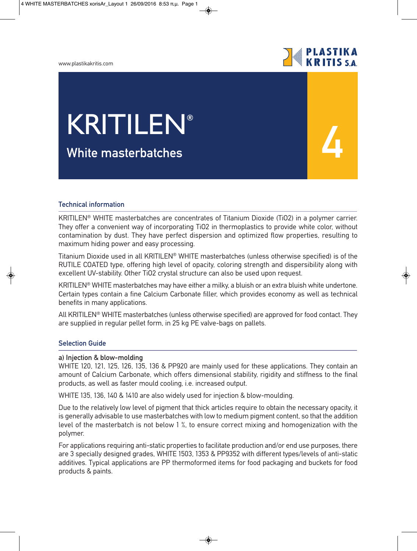#### www.plastikakritis.com



**4**

# **White masterbatches** KRITILEN**®**

### **Technical information**

KRITILEN® WHITE masterbatches are concentrates of Titanium Dioxide (TiO2) in a polymer carrier. They offer a convenient way of incorporating TiO2 in thermoplastics to provide white color, without contamination by dust. They have perfect dispersion and optimized flow properties, resulting to maximum hiding power and easy processing.

Titanium Dioxide used in all KRITILEN® WHITE masterbatches (unless otherwise specified) is of the RUTILE COATED type, offering high level of opacity, coloring strength and dispersibility along with excellent UV-stability. Other TiO2 crystal structure can also be used upon request.

KRITILEN® WHITE masterbatches may have either a milky, a bluish or an extra bluish white undertone. Certain types contain a fine Calcium Carbonate filler, which provides economy as well as technical benefits in many applications.

All KRITILEN® WHITE masterbatches (unless otherwise specified) are approved for food contact. They are supplied in regular pellet form, in 25 kg PE valve-bags on pallets.

### **Selection Guide**

#### **a) Injection & blow-molding**

WHITE 120, 121, 125, 126, 135, 136 & PP920 are mainly used for these applications. They contain an amount of Calcium Carbonate, which offers dimensional stability, rigidity and stiffness to the final products, as well as faster mould cooling, i.e. increased output.

WHITE 135, 136, 140 & 1410 are also widely used for injection & blow-moulding.

Due to the relatively low level of pigment that thick articles require to obtain the necessary opacity, it is generally advisable to use masterbatches with low to medium pigment content, so that the addition level of the masterbatch is not below 1 %, to ensure correct mixing and homogenization with the polymer.

For applications requiring anti-static properties to facilitate production and/or end use purposes, there are 3 specially designed grades, WHITE 1503, 1353 & PP9352 with different types/levels of anti-static additives. Typical applications are PP thermoformed items for food packaging and buckets for food products & paints.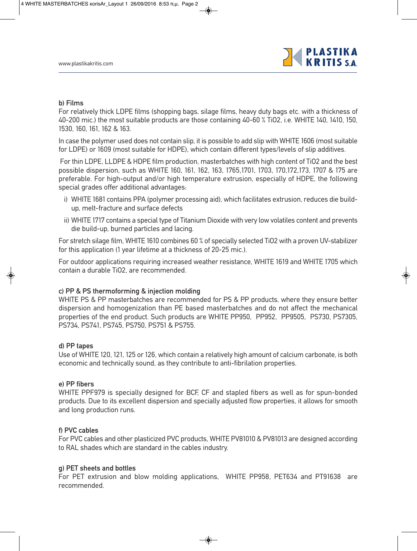

#### **b) Films**

For relatively thick LDPE films (shopping bags, silage films, heavy duty bags etc. with a thickness of 40-200 mic.) the most suitable products are those containing 40-60 % TiO2, i.e. WHITE 140, 1410, 150, 1530, 160, 161, 162 & 163.

In case the polymer used does not contain slip, it is possible to add slip with WHITE 1606 (most suitable for LDPE) or 1609 (most suitable for HDPE), which contain different types/levels of slip additives.

For thin LDPE, LLDPE & HDPE film production, masterbatches with high content of TiO2 and the best possible dispersion, such as WHITE 160, 161, 162, 163, 1765,1701, 1703, 170,172,173, 1707 & 175 are preferable. For high-output and/or high temperature extrusion, especially of HDPE, the following special grades offer additional advantages:

- i) WHITE 1681 contains PPA (polymer processing aid), which facilitates extrusion, reduces die buildup, melt-fracture and surface defects
- ii) WHITE 1717 contains a special type of Titanium Dioxide with very low volatiles content and prevents die build-up, burned particles and lacing.

For stretch silage film, WHITE 1610 combines 60 % of specially selected TiO2 with a proven UV-stabilizer for this application (1 year lifetime at a thickness of 20-25 mic.).

For outdoor applications requiring increased weather resistance, WHITE 1619 and WHITE 1705 which contain a durable TiO2, are recommended.

#### **c) PP & PS thermoforming & injection molding**

WHITE PS & PP masterbatches are recommended for PS & PP products, where they ensure better dispersion and homogenization than PE based masterbatches and do not affect the mechanical properties of the end product. Such products are WHITE PP950, PP952, PP9505, PS730, PS7305, PS734, PS741, PS745, PS750, PS751 & PS755.

#### **d) PP tapes**

Use of WHITE 120, 121, 125 or 126, which contain a relatively high amount of calcium carbonate, is both economic and technically sound, as they contribute to anti-fibrilation properties.

#### **e) PP fibers**

WHITE PPF979 is specially designed for BCF, CF and stapled fibers as well as for spun-bonded products. Due to its excellent dispersion and specially adjusted flow properties, it allows for smooth and long production runs.

#### **f) PVC cables**

For PVC cables and other plasticized PVC products, WHITE PV81010 & PV81013 are designed according to RAL shades which are standard in the cables industry.

#### **g) PET sheets and bottles**

For PET extrusion and blow molding applications, WHITE PP958, PET634 and PT91638 are recommended.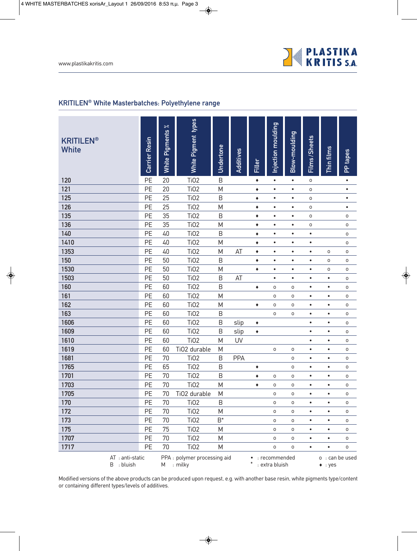

# **KRITILEN® White Masterbatches: Polyethylene range**

| <b>KRITILEN®</b><br><b>White</b> | Carrier Resin                  | $\approx$<br>Pigments<br>White I         | White Pigment types | Undertone      | Additives  | Filler    | Injection moulding              | Blow-moulding       | Films/Sheets                       | Thin films | PP tapes            |  |
|----------------------------------|--------------------------------|------------------------------------------|---------------------|----------------|------------|-----------|---------------------------------|---------------------|------------------------------------|------------|---------------------|--|
| 120                              | PE                             | 20                                       | <b>Ti02</b>         | $\mathsf B$    |            | ٠         | $\bullet$                       | $\bullet$           | O                                  |            | $\bullet$           |  |
| 121                              | PE                             | 20                                       | <b>TiO2</b>         | M              |            | ٠         | $\bullet$                       | $\bullet$           | 0                                  |            | $\bullet$           |  |
| 125                              | PE                             | 25                                       | <b>TiO2</b>         | B              |            | ٠         | $\bullet$                       | $\bullet$           | 0                                  |            | $\bullet$           |  |
| 126                              | PE                             | 25                                       | <b>TiO2</b>         | M              |            | ٠         | $\bullet$                       | $\bullet$           | 0                                  |            | $\bullet$           |  |
| 135                              | PE                             | 35                                       | <b>TiO2</b>         | B              |            | ٠         | $\bullet$                       | $\bullet$           | 0                                  |            | O                   |  |
| 136                              | PE                             | 35                                       | <b>TiO2</b>         | M              |            | ٠         | $\bullet$                       | $\bullet$           | 0                                  |            | 0                   |  |
| 140                              | PE                             | 40                                       | <b>TiO2</b>         | B              |            | ٠         | $\bullet$                       | $\bullet$           | $\bullet$                          |            | 0                   |  |
| 1410                             | PE                             | 40                                       | <b>TiO2</b>         | M              |            | ٠         | $\bullet$                       | $\bullet$           | $\bullet$                          |            | O                   |  |
| 1353                             | PE                             | 40                                       | <b>TiO2</b>         | M              | AT         | ٠         | $\bullet$                       | $\bullet$           | $\bullet$                          | 0          | O                   |  |
| 150                              | PE                             | 50                                       | <b>TiO2</b>         | B              |            | ٠         | $\bullet$                       | $\bullet$           | $\bullet$                          | O          | $\mathsf{O}\xspace$ |  |
| 1530                             | PE                             | 50                                       | <b>TiO2</b>         | M              |            | ٠         | $\bullet$                       | $\bullet$           | $\bullet$                          | O          | $\mathsf{O}\xspace$ |  |
| 1503                             | PE                             | 50                                       | <b>TiO2</b>         | B              | AT         |           | $\bullet$                       | $\bullet$           | $\bullet$                          | $\bullet$  | 0                   |  |
| 160                              | PE                             | 60                                       | <b>TiO2</b>         | B              |            | ٠         | 0                               | 0                   | $\bullet$                          | $\bullet$  | O                   |  |
| 161                              | PE                             | 60                                       | <b>TiO2</b>         | M              |            |           | 0                               | O                   | $\bullet$                          | $\bullet$  | $\mathsf{O}\xspace$ |  |
| 162                              | PE                             | 60                                       | <b>TiO2</b>         | M              |            | ۰         | 0                               | $\circ$             | $\bullet$                          | $\bullet$  | $\mathsf O$         |  |
| 163                              | PE                             | 60                                       | <b>TiO2</b>         | B              |            |           | 0                               | $\mathsf O$         | $\bullet$                          | $\bullet$  | O                   |  |
| 1606                             | PE                             | 60                                       | <b>TiO2</b>         | B              | slip       | ٠         |                                 |                     | $\bullet$                          | $\bullet$  | 0                   |  |
| 1609                             | PE                             | 60                                       | <b>TiO2</b>         | B              | slip       | ٠         |                                 |                     | $\bullet$                          | $\bullet$  | $\mathsf{O}\xspace$ |  |
| 1610                             | PE                             | 60                                       | <b>TiO2</b>         | M              | <b>UV</b>  |           |                                 |                     | $\bullet$                          | $\bullet$  | O                   |  |
| 1619                             | PE                             | 60                                       | TiO2 durable        | M              |            |           | 0                               | O                   | $\bullet$                          | $\bullet$  | O                   |  |
| 1681                             | PE                             | 70                                       | <b>TiO2</b>         | B              | <b>PPA</b> |           |                                 | $\mathsf O$         | $\bullet$                          | $\bullet$  | O                   |  |
| 1765                             | PE                             | 65                                       | <b>TiO2</b>         | B              |            | ٠         |                                 | $\circ$             | $\bullet$                          | $\bullet$  | O                   |  |
| 1701                             | PE                             | 70                                       | <b>TiO2</b>         | B              |            | ٠         | 0                               | $\mathsf O$         | $\bullet$                          | $\bullet$  | $\mathsf{O}\xspace$ |  |
| 1703                             | PE                             | 70                                       | <b>Ti02</b>         | M              |            | ٠         | 0                               | O                   | $\bullet$                          | $\bullet$  | O                   |  |
| 1705                             | PE                             | 70                                       | TiO2 durable        | M              |            |           | O                               | O                   | $\bullet$                          | $\bullet$  | O                   |  |
| 170                              | PE                             | 70                                       | Ti <sub>02</sub>    | B              |            |           | 0                               | $\mathsf O$         | $\bullet$                          | $\bullet$  | O                   |  |
| 172                              | PE                             | 70                                       | <b>Ti02</b>         | M              |            |           | 0                               | $\mathsf{O}\xspace$ | $\bullet$                          | $\bullet$  | O                   |  |
| 173                              | PE                             | 70                                       | <b>TiO2</b>         | $\mathsf{B}^*$ |            |           | 0                               | $\mathsf{O}\xspace$ | $\bullet$                          | $\bullet$  | 0                   |  |
| 175                              | PE                             | 75                                       | <b>TiO2</b>         | M              |            |           | 0                               | $\mathsf{o}$        | $\bullet$                          | $\bullet$  | O                   |  |
| 1707                             | PE                             | 70                                       | Ti <sub>02</sub>    | M              |            |           | 0                               | $\mathsf{O}\xspace$ | $\bullet$                          | $\bullet$  | O                   |  |
| 1717                             | <b>PE</b>                      | 70                                       | Ti02                | M              |            |           | $\mathsf{o}$                    | $\mathsf{o}$        | $\bullet$                          | $\bullet$  | O                   |  |
|                                  | AT : anti-static<br>B : bluish | PPA: polymer processing aid<br>M : milky |                     |                |            | $\bullet$ | : recommended<br>: extra bluish |                     | o : can be used<br>$\bullet$ : yes |            |                     |  |

Modified versions of the above products can be produced upon request, e.g. with another base resin, white pigments type/content or containing different types/levels of additives.